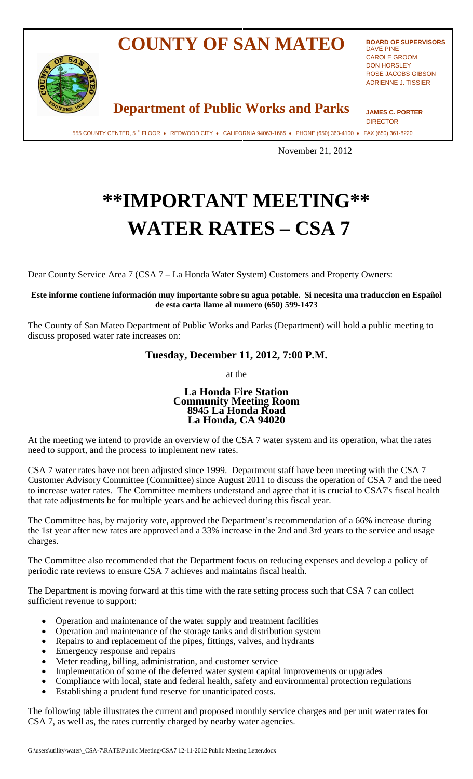## **COUNTY OF SAN MATEO**



**BOARD OF SUPERVISORS DAVE PINE CAROLE GROOM DON HORSLEY ROSE JACOBS GIBSON ADRIENNE J. TISSIER** 

**Department of Public Works and Parks** 

**JAMES C. PORTER DIRECTOR** 

555 COUNTY CENTER, 5TH FLOOR • REDWOOD CITY • CALIFORNIA 94063-1665 • PHONE (650) 363-4100 • FAX (650) 361-8220

November 21, 2012

## \*\*IMPORTANT MEETING\*\* **WATER RATES - CSA 7**

Dear County Service Area 7 (CSA 7 – La Honda Water System) Customers and Property Owners:

Este informe contiene información muy importante sobre su agua potable. Si necesita una traduccion en Español de esta carta llame al numero (650) 599-1473

The County of San Mateo Department of Public Works and Parks (Department) will hold a public meeting to discuss proposed water rate increases on:

## Tuesday, December 11, 2012, 7:00 P.M.

at the

## **La Honda Fire Station Community Meeting Room<br>8945 La Honda Road** La Honda, CA 94020

At the meeting we intend to provide an overview of the CSA 7 water system and its operation, what the rates need to support, and the process to implement new rates.

CSA 7 water rates have not been adjusted since 1999. Department staff have been meeting with the CSA 7 Customer Advisory Committee (Committee) since August 2011 to discuss the operation of CSA 7 and the need to increase water rates. The Committee members understand and agree that it is crucial to CSA7's fiscal health that rate adjustments be for multiple years and be achieved during this fiscal year.

The Committee has, by majority vote, approved the Department's recommendation of a 66% increase during the 1st year after new rates are approved and a 33% increase in the 2nd and 3rd years to the service and usage charges.

The Committee also recommended that the Department focus on reducing expenses and develop a policy of periodic rate reviews to ensure CSA 7 achieves and maintains fiscal health.

The Department is moving forward at this time with the rate setting process such that CSA 7 can collect sufficient revenue to support:

- Operation and maintenance of the water supply and treatment facilities
- Operation and maintenance of the storage tanks and distribution system
- Repairs to and replacement of the pipes, fittings, valves, and hydrants
- Emergency response and repairs
- Meter reading, billing, administration, and customer service
- Implementation of some of the deferred water system capital improvements or upgrades
- Compliance with local, state and federal health, safety and environmental protection regulations
- Establishing a prudent fund reserve for unanticipated costs.

The following table illustrates the current and proposed monthly service charges and per unit water rates for CSA 7, as well as, the rates currently charged by nearby water agencies.